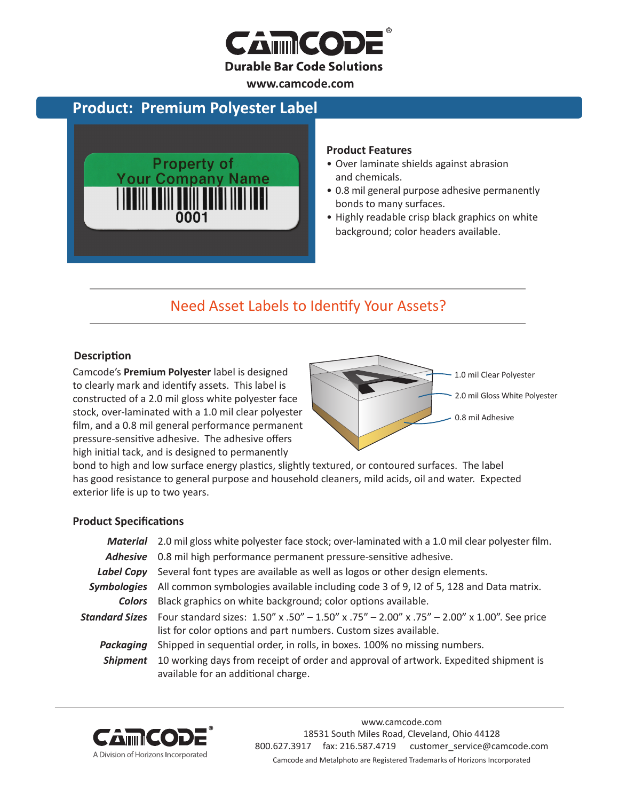

**www.camcode.com**

## **Product: Premium Polyester Label**



#### **Product Features**

- Over laminate shields against abrasion and chemicals.
- 0.8 mil general purpose adhesive permanently bonds to many surfaces.
- Highly readable crisp black graphics on white background; color headers available.

# Need Asset Labels to Identify Your Assets?

#### **Description**

Camcode's **Premium Polyester** label is designed to clearly mark and identify assets. This label is constructed of a 2.0 mil gloss white polyester face stock, over-laminated with a 1.0 mil clear polyester film, and a 0.8 mil general performance permanent pressure-sensitive adhesive. The adhesive offers high initial tack, and is designed to permanently



bond to high and low surface energy plastics, slightly textured, or contoured surfaces. The label has good resistance to general purpose and household cleaners, mild acids, oil and water. Expected exterior life is up to two years.

#### **Product Specifications**

|                 | Material 2.0 mil gloss white polyester face stock; over-laminated with a 1.0 mil clear polyester film.                                                                        |  |  |
|-----------------|-------------------------------------------------------------------------------------------------------------------------------------------------------------------------------|--|--|
|                 | Adhesive 0.8 mil high performance permanent pressure-sensitive adhesive.                                                                                                      |  |  |
| Label Copy      | Several font types are available as well as logos or other design elements.                                                                                                   |  |  |
|                 | Symbologies All common symbologies available including code 3 of 9, 12 of 5, 128 and Data matrix.                                                                             |  |  |
| <b>Colors</b>   | Black graphics on white background; color options available.                                                                                                                  |  |  |
|                 | Standard Sizes Four standard sizes: 1.50" x .50" - 1.50" x .75" - 2.00" x .75" - 2.00" x 1.00". See price<br>list for color options and part numbers. Custom sizes available. |  |  |
| Packaging       | Shipped in sequential order, in rolls, in boxes. 100% no missing numbers.                                                                                                     |  |  |
| <b>Shipment</b> | 10 working days from receipt of order and approval of artwork. Expedited shipment is<br>available for an additional charge.                                                   |  |  |



www.camcode.com 18531 South Miles Road, Cleveland, Ohio 44128 800.627.3917 fax: 216.587.4719 customer\_service@camcode.com Camcode and Metalphoto are Registered Trademarks of Horizons Incorporated